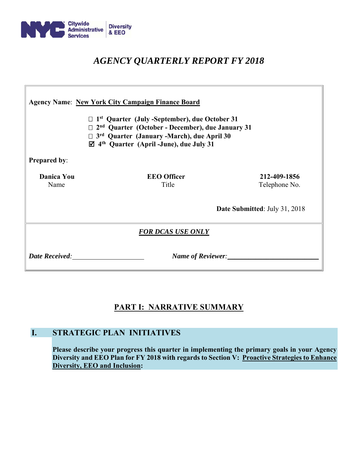

# *AGENCY QUARTERLY REPORT FY 2018*

| <b>Agency Name: New York City Campaign Finance Board</b><br>$\Box$ 1 <sup>st</sup> Quarter (July -September), due October 31<br>$\Box$ 2 <sup>nd</sup> Quarter (October - December), due January 31<br>$\Box$ 3 <sup>rd</sup> Quarter (January -March), due April 30<br>$\boxtimes$ 4 <sup>th</sup> Quarter (April -June), due July 31 |                             |                               |  |  |  |  |  |
|----------------------------------------------------------------------------------------------------------------------------------------------------------------------------------------------------------------------------------------------------------------------------------------------------------------------------------------|-----------------------------|-------------------------------|--|--|--|--|--|
| <b>Prepared by:</b>                                                                                                                                                                                                                                                                                                                    |                             |                               |  |  |  |  |  |
| <b>Danica You</b><br>Name                                                                                                                                                                                                                                                                                                              | <b>EEO</b> Officer<br>Title | 212-409-1856<br>Telephone No. |  |  |  |  |  |
|                                                                                                                                                                                                                                                                                                                                        |                             | Date Submitted: July 31, 2018 |  |  |  |  |  |
| <b>FOR DCAS USE ONLY</b>                                                                                                                                                                                                                                                                                                               |                             |                               |  |  |  |  |  |
| <b>Date Received:</b>                                                                                                                                                                                                                                                                                                                  | Name of Reviewer:           |                               |  |  |  |  |  |

# **PART I: NARRATIVE SUMMARY**

# **I. STRATEGIC PLAN INITIATIVES**

**Please describe your progress this quarter in implementing the primary goals in your Agency Diversity and EEO Plan for FY 2018 with regards to Section V: Proactive Strategies to Enhance Diversity, EEO and Inclusion:**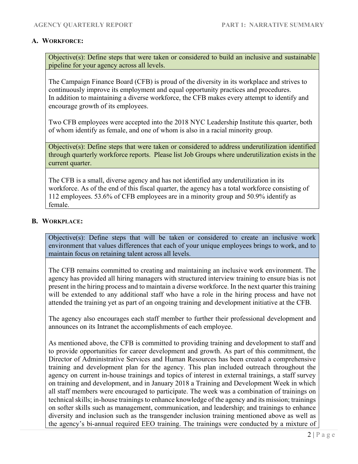### **A. WORKFORCE:**

Objective(s): Define steps that were taken or considered to build an inclusive and sustainable pipeline for your agency across all levels.

The Campaign Finance Board (CFB) is proud of the diversity in its workplace and strives to continuously improve its employment and equal opportunity practices and procedures. In addition to maintaining a diverse workforce, the CFB makes every attempt to identify and encourage growth of its employees.

Two CFB employees were accepted into the 2018 NYC Leadership Institute this quarter, both of whom identify as female, and one of whom is also in a racial minority group.

Objective(s): Define steps that were taken or considered to address underutilization identified through quarterly workforce reports. Please list Job Groups where underutilization exists in the current quarter.

The CFB is a small, diverse agency and has not identified any underutilization in its workforce. As of the end of this fiscal quarter, the agency has a total workforce consisting of 112 employees. 53.6% of CFB employees are in a minority group and 50.9% identify as female.

### **B. WORKPLACE:**

Objective(s): Define steps that will be taken or considered to create an inclusive work environment that values differences that each of your unique employees brings to work, and to maintain focus on retaining talent across all levels.

The CFB remains committed to creating and maintaining an inclusive work environment. The agency has provided all hiring managers with structured interview training to ensure bias is not present in the hiring process and to maintain a diverse workforce. In the next quarter this training will be extended to any additional staff who have a role in the hiring process and have not attended the training yet as part of an ongoing training and development initiative at the CFB.

The agency also encourages each staff member to further their professional development and announces on its Intranet the accomplishments of each employee.

As mentioned above, the CFB is committed to providing training and development to staff and to provide opportunities for career development and growth. As part of this commitment, the Director of Administrative Services and Human Resources has been created a comprehensive training and development plan for the agency. This plan included outreach throughout the agency on current in-house trainings and topics of interest in external trainings, a staff survey on training and development, and in January 2018 a Training and Development Week in which all staff members were encouraged to participate. The week was a combination of trainings on technical skills; in-house trainings to enhance knowledge of the agency and its mission; trainings on softer skills such as management, communication, and leadership; and trainings to enhance diversity and inclusion such as the transgender inclusion training mentioned above as well as the agency's bi-annual required EEO training. The trainings were conducted by a mixture of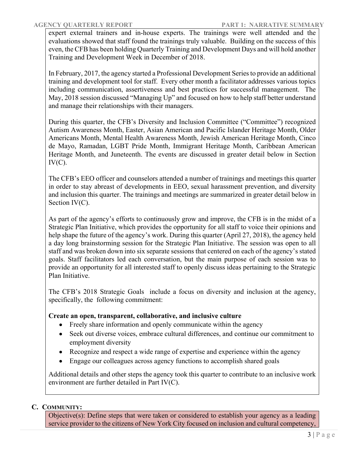expert external trainers and in-house experts. The trainings were well attended and the evaluations showed that staff found the trainings truly valuable. Building on the success of this even, the CFB has been holding Quarterly Training and Development Days and will hold another Training and Development Week in December of 2018.

In February, 2017, the agency started a Professional Development Series to provide an additional training and development tool for staff. Every other month a facilitator addresses various topics including communication, assertiveness and best practices for successful management. The May, 2018 session discussed "Managing Up" and focused on how to help staff better understand and manage their relationships with their managers.

During this quarter, the CFB's Diversity and Inclusion Committee ("Committee") recognized Autism Awareness Month, Easter, Asian American and Pacific Islander Heritage Month, Older Americans Month, Mental Health Awareness Month, Jewish American Heritage Month, Cinco de Mayo, Ramadan, LGBT Pride Month, Immigrant Heritage Month, Caribbean American Heritage Month, and Juneteenth. The events are discussed in greater detail below in Section  $IV(C)$ .

The CFB's EEO officer and counselors attended a number of trainings and meetings this quarter in order to stay abreast of developments in EEO, sexual harassment prevention, and diversity and inclusion this quarter. The trainings and meetings are summarized in greater detail below in Section IV(C).

As part of the agency's efforts to continuously grow and improve, the CFB is in the midst of a Strategic Plan Initiative, which provides the opportunity for all staff to voice their opinions and help shape the future of the agency's work. During this quarter (April 27, 2018), the agency held a day long brainstorming session for the Strategic Plan Initiative. The session was open to all staff and was broken down into six separate sessions that centered on each of the agency's stated goals. Staff facilitators led each conversation, but the main purpose of each session was to provide an opportunity for all interested staff to openly discuss ideas pertaining to the Strategic Plan Initiative.

The CFB's 2018 Strategic Goals include a focus on diversity and inclusion at the agency, specifically, the following commitment:

# **Create an open, transparent, collaborative, and inclusive culture**

- Freely share information and openly communicate within the agency
- Seek out diverse voices, embrace cultural differences, and continue our commitment to employment diversity
- Recognize and respect a wide range of expertise and experience within the agency
- Engage our colleagues across agency functions to accomplish shared goals

Additional details and other steps the agency took this quarter to contribute to an inclusive work environment are further detailed in Part IV(C).

# **C. COMMUNITY:**

Objective(s): Define steps that were taken or considered to establish your agency as a leading service provider to the citizens of New York City focused on inclusion and cultural competency,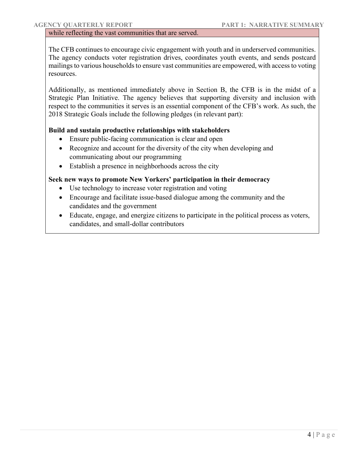### while reflecting the vast communities that are served.

The CFB continues to encourage civic engagement with youth and in underserved communities. The agency conducts voter registration drives, coordinates youth events, and sends postcard mailings to various households to ensure vast communities are empowered, with access to voting resources.

Additionally, as mentioned immediately above in Section B, the CFB is in the midst of a Strategic Plan Initiative. The agency believes that supporting diversity and inclusion with respect to the communities it serves is an essential component of the CFB's work. As such, the 2018 Strategic Goals include the following pledges (in relevant part):

### **Build and sustain productive relationships with stakeholders**

- Ensure public-facing communication is clear and open
- Recognize and account for the diversity of the city when developing and communicating about our programming
- Establish a presence in neighborhoods across the city

### **Seek new ways to promote New Yorkers' participation in their democracy**

- Use technology to increase voter registration and voting
- Encourage and facilitate issue-based dialogue among the community and the candidates and the government
- Educate, engage, and energize citizens to participate in the political process as voters, candidates, and small-dollar contributors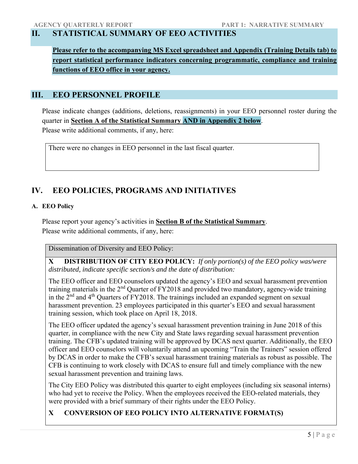# **II. STATISTICAL SUMMARY OF EEO ACTIVITIES**

**Please refer to the accompanying MS Excel spreadsheet and Appendix (Training Details tab) to report statistical performance indicators concerning programmatic, compliance and training functions of EEO office in your agency.** 

# **III. EEO PERSONNEL PROFILE**

Please indicate changes (additions, deletions, reassignments) in your EEO personnel roster during the quarter in **Section A of the Statistical Summary AND in Appendix 2 below**. Please write additional comments, if any, here:

There were no changes in EEO personnel in the last fiscal quarter.

# **IV. EEO POLICIES, PROGRAMS AND INITIATIVES**

### **A. EEO Policy**

Please report your agency's activities in **Section B of the Statistical Summary**. Please write additional comments, if any, here:

Dissemination of Diversity and EEO Policy:

**X DISTRIBUTION OF CITY EEO POLICY:** *If only portion(s) of the EEO policy was/were distributed, indicate specific section/s and the date of distribution:*

The EEO officer and EEO counselors updated the agency's EEO and sexual harassment prevention training materials in the 2nd Quarter of FY2018 and provided two mandatory, agency-wide training in the  $2<sup>nd</sup>$  and  $4<sup>th</sup>$  Quarters of FY2018. The trainings included an expanded segment on sexual harassment prevention. 23 employees participated in this quarter's EEO and sexual harassment training session, which took place on April 18, 2018.

The EEO officer updated the agency's sexual harassment prevention training in June 2018 of this quarter, in compliance with the new City and State laws regarding sexual harassment prevention training. The CFB's updated training will be approved by DCAS next quarter. Additionally, the EEO officer and EEO counselors will voluntarily attend an upcoming "Train the Trainers" session offered by DCAS in order to make the CFB's sexual harassment training materials as robust as possible. The CFB is continuing to work closely with DCAS to ensure full and timely compliance with the new sexual harassment prevention and training laws.

The City EEO Policy was distributed this quarter to eight employees (including six seasonal interns) who had yet to receive the Policy. When the employees received the EEO-related materials, they were provided with a brief summary of their rights under the EEO Policy.

# **X CONVERSION OF EEO POLICY INTO ALTERNATIVE FORMAT(S)**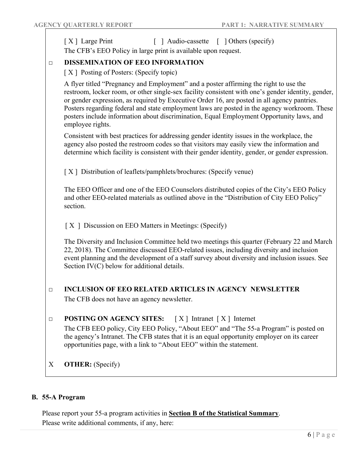|                                                                    | [X] Large Print<br>[ ] Audio-cassette [ ] Others (specify)<br>The CFB's EEO Policy in large print is available upon request.                                                                                                                                                                                                                                                                                                                                                                               |  |  |  |  |  |
|--------------------------------------------------------------------|------------------------------------------------------------------------------------------------------------------------------------------------------------------------------------------------------------------------------------------------------------------------------------------------------------------------------------------------------------------------------------------------------------------------------------------------------------------------------------------------------------|--|--|--|--|--|
| $\Box$                                                             | <b>DISSEMINATION OF EEO INFORMATION</b>                                                                                                                                                                                                                                                                                                                                                                                                                                                                    |  |  |  |  |  |
|                                                                    | [X] Posting of Posters: (Specify topic)                                                                                                                                                                                                                                                                                                                                                                                                                                                                    |  |  |  |  |  |
|                                                                    | A flyer titled "Pregnancy and Employment" and a poster affirming the right to use the<br>restroom, locker room, or other single-sex facility consistent with one's gender identity, gender,<br>or gender expression, as required by Executive Order 16, are posted in all agency pantries.<br>Posters regarding federal and state employment laws are posted in the agency workroom. These<br>posters include information about discrimination, Equal Employment Opportunity laws, and<br>employee rights. |  |  |  |  |  |
|                                                                    | Consistent with best practices for addressing gender identity issues in the workplace, the<br>agency also posted the restroom codes so that visitors may easily view the information and<br>determine which facility is consistent with their gender identity, gender, or gender expression.                                                                                                                                                                                                               |  |  |  |  |  |
|                                                                    | [X] Distribution of leaflets/pamphlets/brochures: (Specify venue)                                                                                                                                                                                                                                                                                                                                                                                                                                          |  |  |  |  |  |
|                                                                    | The EEO Officer and one of the EEO Counselors distributed copies of the City's EEO Policy<br>and other EEO-related materials as outlined above in the "Distribution of City EEO Policy"<br>section.                                                                                                                                                                                                                                                                                                        |  |  |  |  |  |
|                                                                    | [X ] Discussion on EEO Matters in Meetings: (Specify)                                                                                                                                                                                                                                                                                                                                                                                                                                                      |  |  |  |  |  |
|                                                                    | The Diversity and Inclusion Committee held two meetings this quarter (February 22 and March<br>22, 2018). The Committee discussed EEO-related issues, including diversity and inclusion<br>event planning and the development of a staff survey about diversity and inclusion issues. See<br>Section IV(C) below for additional details.                                                                                                                                                                   |  |  |  |  |  |
| <b>INCLUSION OF EEO RELATED ARTICLES IN AGENCY NEWSLETTER</b><br>□ |                                                                                                                                                                                                                                                                                                                                                                                                                                                                                                            |  |  |  |  |  |
|                                                                    | The CFB does not have an agency newsletter.                                                                                                                                                                                                                                                                                                                                                                                                                                                                |  |  |  |  |  |
| $\Box$                                                             | <b>POSTING ON AGENCY SITES:</b> $[X]$ Intranet $[X]$ Internet                                                                                                                                                                                                                                                                                                                                                                                                                                              |  |  |  |  |  |
|                                                                    | The CFB EEO policy, City EEO Policy, "About EEO" and "The 55-a Program" is posted on<br>the agency's Intranet. The CFB states that it is an equal opportunity employer on its career<br>opportunities page, with a link to "About EEO" within the statement.                                                                                                                                                                                                                                               |  |  |  |  |  |
| X                                                                  | <b>OTHER:</b> (Specify)                                                                                                                                                                                                                                                                                                                                                                                                                                                                                    |  |  |  |  |  |

# **B. 55-A Program**

Please report your 55-a program activities in **Section B of the Statistical Summary**. Please write additional comments, if any, here: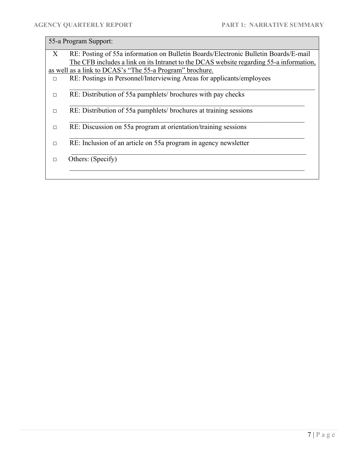# 55-a Program Support:

| X      | RE: Posting of 55a information on Bulletin Boards/Electronic Bulletin Boards/E-mail     |
|--------|-----------------------------------------------------------------------------------------|
|        | The CFB includes a link on its Intranet to the DCAS website regarding 55-a information, |
|        | as well as a link to DCAS's "The 55-a Program" brochure.                                |
| $\Box$ | RE: Postings in Personnel/Interviewing Areas for applicants/employees                   |
| П      | RE: Distribution of 55a pamphlets/brochures with pay checks                             |
| П      | RE: Distribution of 55a pamphlets/ brochures at training sessions                       |
| П      | RE: Discussion on 55a program at orientation/training sessions                          |
| П      | RE: Inclusion of an article on 55a program in agency newsletter                         |
| $\Box$ | Others: (Specify)                                                                       |
|        |                                                                                         |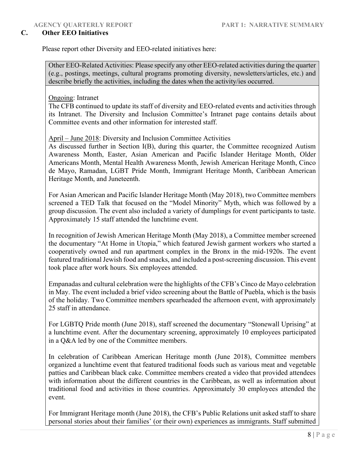### **C. Other EEO Initiatives**

Please report other Diversity and EEO-related initiatives here:

Other EEO-Related Activities: Please specify any other EEO-related activities during the quarter (e.g., postings, meetings, cultural programs promoting diversity, newsletters/articles, etc.) and describe briefly the activities, including the dates when the activity/ies occurred.

Ongoing: Intranet

The CFB continued to update its staff of diversity and EEO-related events and activities through its Intranet. The Diversity and Inclusion Committee's Intranet page contains details about Committee events and other information for interested staff.

April – June 2018: Diversity and Inclusion Committee Activities

As discussed further in Section I(B), during this quarter, the Committee recognized Autism Awareness Month, Easter, Asian American and Pacific Islander Heritage Month, Older Americans Month, Mental Health Awareness Month, Jewish American Heritage Month, Cinco de Mayo, Ramadan, LGBT Pride Month, Immigrant Heritage Month, Caribbean American Heritage Month, and Juneteenth.

For Asian American and Pacific Islander Heritage Month (May 2018), two Committee members screened a TED Talk that focused on the "Model Minority" Myth, which was followed by a group discussion. The event also included a variety of dumplings for event participants to taste. Approximately 15 staff attended the lunchtime event.

In recognition of Jewish American Heritage Month (May 2018), a Committee member screened the documentary "At Home in Utopia," which featured Jewish garment workers who started a cooperatively owned and run apartment complex in the Bronx in the mid-1920s. The event featured traditional Jewish food and snacks, and included a post-screening discussion. This event took place after work hours. Six employees attended.

Empanadas and cultural celebration were the highlights of the CFB's Cinco de Mayo celebration in May. The event included a brief video screening about the Battle of Puebla, which is the basis of the holiday. Two Committee members spearheaded the afternoon event, with approximately 25 staff in attendance.

For LGBTQ Pride month (June 2018), staff screened the documentary "Stonewall Uprising" at a lunchtime event. After the documentary screening, approximately 10 employees participated in a Q&A led by one of the Committee members.

In celebration of Caribbean American Heritage month (June 2018), Committee members organized a lunchtime event that featured traditional foods such as various meat and vegetable patties and Caribbean black cake. Committee members created a video that provided attendees with information about the different countries in the Caribbean, as well as information about traditional food and activities in those countries. Approximately 30 employees attended the event.

For Immigrant Heritage month (June 2018), the CFB's Public Relations unit asked staff to share personal stories about their families' (or their own) experiences as immigrants. Staff submitted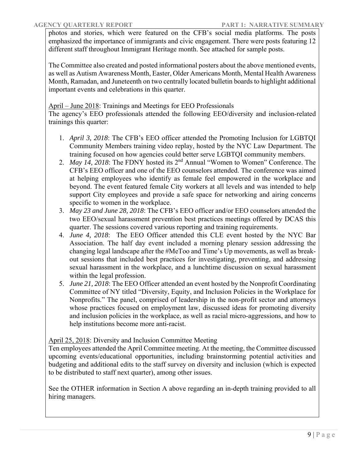photos and stories, which were featured on the CFB's social media platforms. The posts emphasized the importance of immigrants and civic engagement. There were posts featuring 12 different staff throughout Immigrant Heritage month. See attached for sample posts.

The Committee also created and posted informational posters about the above mentioned events, as well as Autism Awareness Month, Easter, Older Americans Month, Mental Health Awareness Month, Ramadan, and Juneteenth on two centrally located bulletin boards to highlight additional important events and celebrations in this quarter.

April – June 2018: Trainings and Meetings for EEO Professionals

The agency's EEO professionals attended the following EEO/diversity and inclusion-related trainings this quarter:

- 1. *April 3, 2018*: The CFB's EEO officer attended the Promoting Inclusion for LGBTQI Community Members training video replay, hosted by the NYC Law Department. The training focused on how agencies could better serve LGBTQI community members.
- 2. *May 14, 2018*: The FDNY hosted its 2nd Annual "Women to Women" Conference. The CFB's EEO officer and one of the EEO counselors attended. The conference was aimed at helping employees who identify as female feel empowered in the workplace and beyond. The event featured female City workers at all levels and was intended to help support City employees and provide a safe space for networking and airing concerns specific to women in the workplace.
- 3. *May 23 and June 28, 2018*: The CFB's EEO officer and/or EEO counselors attended the two EEO/sexual harassment prevention best practices meetings offered by DCAS this quarter. The sessions covered various reporting and training requirements.
- 4. *June 4, 2018*: The EEO Officer attended this CLE event hosted by the NYC Bar Association. The half day event included a morning plenary session addressing the changing legal landscape after the #MeToo and Time's Up movements, as well as breakout sessions that included best practices for investigating, preventing, and addressing sexual harassment in the workplace, and a lunchtime discussion on sexual harassment within the legal profession.
- 5. *June 21, 2018*: The EEO Officer attended an event hosted by the Nonprofit Coordinating Committee of NY titled "Diversity, Equity, and Inclusion Policies in the Workplace for Nonprofits." The panel, comprised of leadership in the non-profit sector and attorneys whose practices focused on employment law, discussed ideas for promoting diversity and inclusion policies in the workplace, as well as racial micro-aggressions, and how to help institutions become more anti-racist.

April 25, 2018: Diversity and Inclusion Committee Meeting

Ten employees attended the April Committee meeting. At the meeting, the Committee discussed upcoming events/educational opportunities, including brainstorming potential activities and budgeting and additional edits to the staff survey on diversity and inclusion (which is expected to be distributed to staff next quarter), among other issues.

See the OTHER information in Section A above regarding an in-depth training provided to all hiring managers.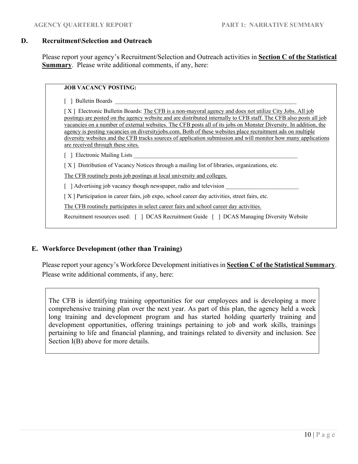#### **D. Recruitment\Selection and Outreach**

Please report your agency's Recruitment/Selection and Outreach activities in **Section C of the Statistical Summary**. Please write additional comments, if any, here:

# **JOB VACANCY POSTING:**

 $\lceil$  ] Bulletin Boards

[X] Electronic Bulletin Boards: The CFB is a non-mayoral agency and does not utilize City Jobs. All job postings are posted on the agency website and are distributed internally to CFB staff. The CFB also posts all job vacancies on a number of external websites. The CFB posts all of its jobs on Monster Diversity. In addition, the agency is posting vacancies on diversityjobs.com. Both of these websites place recruitment ads on multiple diversity websites and the CFB tracks sources of application submission and will monitor how many applications are received through these sites.

 $\lceil \quad \rceil$  Electronic Mailing Lists

[ X ] Distribution of Vacancy Notices through a mailing list of libraries, organizations, etc.

The CFB routinely posts job postings at local university and colleges.

 $\lceil$  ] Advertising job vacancy though newspaper, radio and television

[ X ] Participation in career fairs, job expo, school career day activities, street fairs, etc.

The CFB routinely participates in select career fairs and school career day activities.

Recruitment resources used: [ ] DCAS Recruitment Guide [ ] DCAS Managing Diversity Website

### **E. Workforce Development (other than Training)**

Please report your agency's Workforce Development initiatives in **Section C of the Statistical Summary**. Please write additional comments, if any, here:

The CFB is identifying training opportunities for our employees and is developing a more comprehensive training plan over the next year. As part of this plan, the agency held a week long training and development program and has started holding quarterly training and development opportunities, offering trainings pertaining to job and work skills, trainings pertaining to life and financial planning, and trainings related to diversity and inclusion. See Section I(B) above for more details.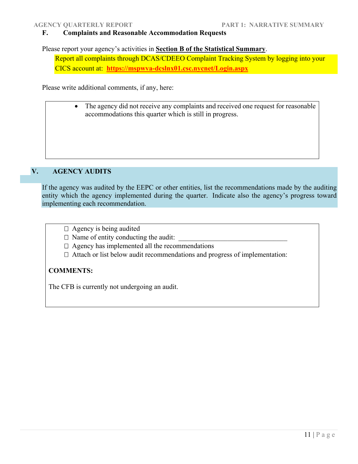### **F. Complaints and Reasonable Accommodation Requests**

Please report your agency's activities in **Section B of the Statistical Summary**.

Report all complaints through DCAS/CDEEO Complaint Tracking System by logging into your CICS account at: **https://mspwva-dcslnx01.csc.nycnet/Login.aspx**

Please write additional comments, if any, here:

• The agency did not receive any complaints and received one request for reasonable accommodations this quarter which is still in progress.

# **V. AGENCY AUDITS**

If the agency was audited by the EEPC or other entities, list the recommendations made by the auditing entity which the agency implemented during the quarter. Indicate also the agency's progress toward implementing each recommendation.

 $\Box$  Agency is being audited

 $\Box$  Name of entity conducting the audit:

 $\Box$  Agency has implemented all the recommendations

 $\Box$  Attach or list below audit recommendations and progress of implementation:

### **COMMENTS:**

The CFB is currently not undergoing an audit.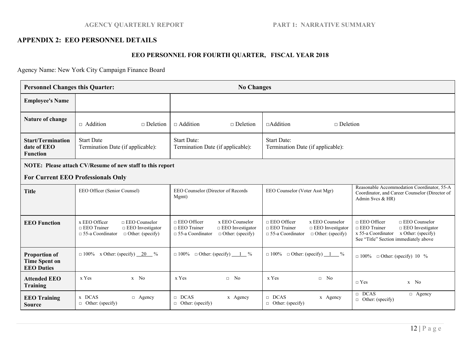### **AGENCY QUARTERLY REPORT PART 1: NARRATIVE SUMMARY**

#### **APPENDIX 2: EEO PERSONNEL DETAILS**

### **EEO PERSONNEL FOR FOURTH QUARTER, FISCAL YEAR 2018**

Agency Name: New York City Campaign Finance Board

| <b>Personnel Changes this Quarter:</b>                            |                                                                                                                                              | <b>No Changes</b>                                                                                                                            |                                                                                                                                                 |                                                                                                                                                                                   |  |  |  |
|-------------------------------------------------------------------|----------------------------------------------------------------------------------------------------------------------------------------------|----------------------------------------------------------------------------------------------------------------------------------------------|-------------------------------------------------------------------------------------------------------------------------------------------------|-----------------------------------------------------------------------------------------------------------------------------------------------------------------------------------|--|--|--|
| <b>Employee's Name</b>                                            |                                                                                                                                              |                                                                                                                                              |                                                                                                                                                 |                                                                                                                                                                                   |  |  |  |
| Nature of change                                                  | $\Box$ Addition<br>$\Box$ Deletion                                                                                                           | $\Box$ Addition<br>$\Box$ Deletion                                                                                                           | $\Box$ Addition<br>$\Box$ Deletion                                                                                                              |                                                                                                                                                                                   |  |  |  |
| <b>Start/Termination</b><br>date of EEO<br><b>Function</b>        | <b>Start Date</b><br>Termination Date (if applicable):                                                                                       | <b>Start Date:</b><br>Termination Date (if applicable):                                                                                      | <b>Start Date:</b><br>Termination Date (if applicable):                                                                                         |                                                                                                                                                                                   |  |  |  |
| NOTE: Please attach CV/Resume of new staff to this report         |                                                                                                                                              |                                                                                                                                              |                                                                                                                                                 |                                                                                                                                                                                   |  |  |  |
| <b>For Current EEO Professionals Only</b>                         |                                                                                                                                              |                                                                                                                                              |                                                                                                                                                 |                                                                                                                                                                                   |  |  |  |
| <b>Title</b>                                                      | EEO Officer (Senior Counsel)                                                                                                                 | EEO Counselor (Director of Records<br>Mgmt)                                                                                                  | EEO Counselor (Voter Asst Mgr)                                                                                                                  | Reasonable Accommodation Coordinator, 55-A<br>Coordinator, and Career Counselor (Director of<br>Admin Svcs $&$ HR)                                                                |  |  |  |
| <b>EEO Function</b>                                               | x EEO Officer<br>$\Box$ EEO Counselor<br>$\Box$ EEO Trainer<br>$\Box$ EEO Investigator<br>$\Box$ 55-a Coordinator<br>$\Box$ Other: (specify) | $\Box$ EEO Officer<br>x EEO Counselor<br>$\Box$ EEO Trainer<br>$\Box$ EEO Investigator<br>$\Box$ 55-a Coordinator<br>$\Box$ Other: (specify) | $\Box$ EEO Officer<br>x EEO Counselor<br>$\Box$ EEO Trainer<br>$\Box$ EEO Investigator<br>$\Box$<br>55-a Coordinator<br>$\Box$ Other: (specify) | $\Box$ EEO Officer<br>$\Box$ EEO Counselor<br>$\Box$ EEO Trainer<br>$\Box$ EEO Investigator<br>$x 55-a$ Coordinator $x$ Other: (specify)<br>See "Title" Section immediately above |  |  |  |
| <b>Proportion of</b><br><b>Time Spent on</b><br><b>EEO Duties</b> | $\Box$ 100% x Other: (specify) $\underline{\hspace{1cm}} 20$ %                                                                               | $\Box$ Other: (specify) $\underline{\hspace{1cm}} 1 \underline{\hspace{1cm}} \%$<br>$\Box 100\%$                                             | $\Box$ 100% $\Box$ Other: (specify) $1 \ \degree$ %                                                                                             | $\Box$ 100% $\Box$ Other: (specify) 10 %                                                                                                                                          |  |  |  |
| <b>Attended EEO</b><br><b>Training</b>                            | x Yes<br>$x$ No                                                                                                                              | x Yes<br>$\Box$ No                                                                                                                           | x Yes<br>$\Box$ No                                                                                                                              | $\sqcap$ Yes<br>$x$ No                                                                                                                                                            |  |  |  |
| <b>EEO Training</b><br><b>Source</b>                              | x DCAS<br>$\Box$ Agency<br>$\Box$ Other: (specify)                                                                                           | $\Box$ DCAS<br>x Agency<br>$\Box$ Other: (specify)                                                                                           | $\Box$ DCAS<br>x Agency<br>$\Box$ Other: (specify)                                                                                              | $\Box$ DCAS<br>$\Box$ Agency<br>$\Box$ Other: (specify)                                                                                                                           |  |  |  |